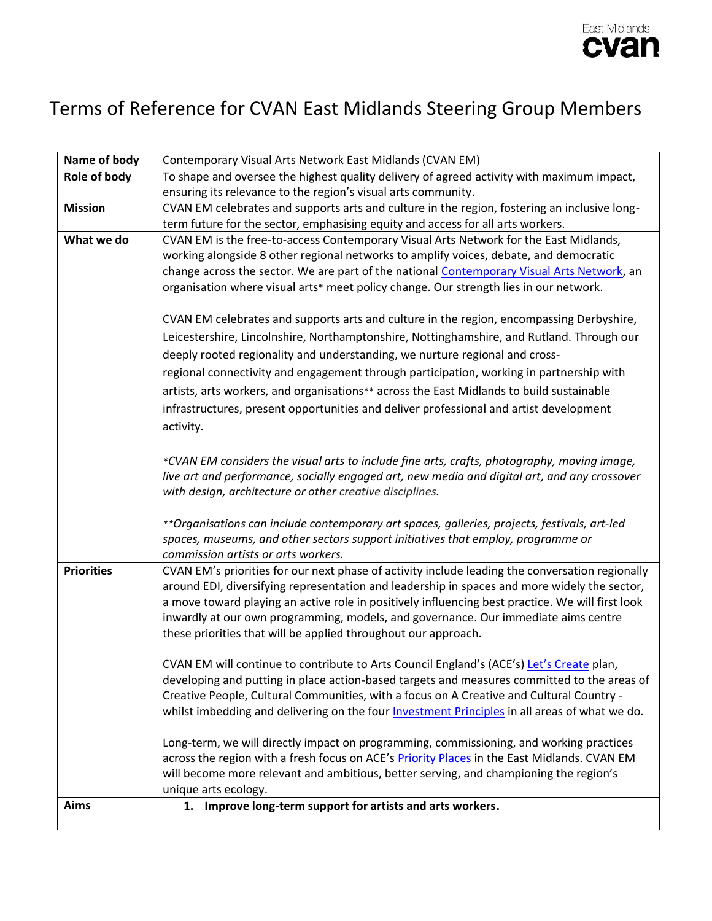

## Terms of Reference for CVAN East Midlands Steering Group Members

| Name of body      | Contemporary Visual Arts Network East Midlands (CVAN EM)                                             |
|-------------------|------------------------------------------------------------------------------------------------------|
| Role of body      | To shape and oversee the highest quality delivery of agreed activity with maximum impact,            |
|                   | ensuring its relevance to the region's visual arts community.                                        |
| <b>Mission</b>    | CVAN EM celebrates and supports arts and culture in the region, fostering an inclusive long-         |
|                   | term future for the sector, emphasising equity and access for all arts workers.                      |
| What we do        | CVAN EM is the free-to-access Contemporary Visual Arts Network for the East Midlands,                |
|                   | working alongside 8 other regional networks to amplify voices, debate, and democratic                |
|                   | change across the sector. We are part of the national Contemporary Visual Arts Network, an           |
|                   | organisation where visual arts* meet policy change. Our strength lies in our network.                |
|                   | CVAN EM celebrates and supports arts and culture in the region, encompassing Derbyshire,             |
|                   | Leicestershire, Lincolnshire, Northamptonshire, Nottinghamshire, and Rutland. Through our            |
|                   | deeply rooted regionality and understanding, we nurture regional and cross-                          |
|                   | regional connectivity and engagement through participation, working in partnership with              |
|                   | artists, arts workers, and organisations** across the East Midlands to build sustainable             |
|                   | infrastructures, present opportunities and deliver professional and artist development               |
|                   | activity.                                                                                            |
|                   |                                                                                                      |
|                   | *CVAN EM considers the visual arts to include fine arts, crafts, photography, moving image,          |
|                   | live art and performance, socially engaged art, new media and digital art, and any crossover         |
|                   | with design, architecture or other creative disciplines.                                             |
|                   |                                                                                                      |
|                   | **Organisations can include contemporary art spaces, galleries, projects, festivals, art-led         |
|                   | spaces, museums, and other sectors support initiatives that employ, programme or                     |
|                   | commission artists or arts workers.                                                                  |
| <b>Priorities</b> | CVAN EM's priorities for our next phase of activity include leading the conversation regionally      |
|                   | around EDI, diversifying representation and leadership in spaces and more widely the sector,         |
|                   | a move toward playing an active role in positively influencing best practice. We will first look     |
|                   | inwardly at our own programming, models, and governance. Our immediate aims centre                   |
|                   | these priorities that will be applied throughout our approach.                                       |
|                   | CVAN EM will continue to contribute to Arts Council England's (ACE's) Let's Create plan,             |
|                   | developing and putting in place action-based targets and measures committed to the areas of          |
|                   | Creative People, Cultural Communities, with a focus on A Creative and Cultural Country -             |
|                   | whilst imbedding and delivering on the four <b>Investment Principles</b> in all areas of what we do. |
|                   |                                                                                                      |
|                   | Long-term, we will directly impact on programming, commissioning, and working practices              |
|                   | across the region with a fresh focus on ACE's Priority Places in the East Midlands. CVAN EM          |
|                   | will become more relevant and ambitious, better serving, and championing the region's                |
|                   | unique arts ecology.                                                                                 |
| Aims              | 1. Improve long-term support for artists and arts workers.                                           |
|                   |                                                                                                      |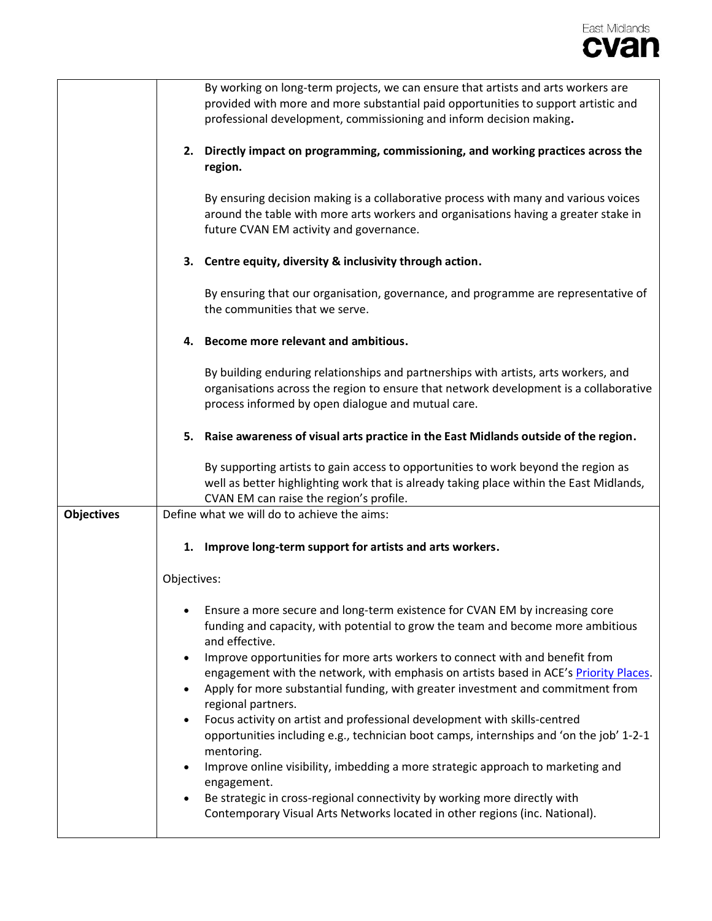

|                   | By working on long-term projects, we can ensure that artists and arts workers are<br>provided with more and more substantial paid opportunities to support artistic and<br>professional development, commissioning and inform decision making.                                |
|-------------------|-------------------------------------------------------------------------------------------------------------------------------------------------------------------------------------------------------------------------------------------------------------------------------|
|                   | Directly impact on programming, commissioning, and working practices across the<br>2.<br>region.                                                                                                                                                                              |
|                   | By ensuring decision making is a collaborative process with many and various voices<br>around the table with more arts workers and organisations having a greater stake in<br>future CVAN EM activity and governance.                                                         |
|                   | 3. Centre equity, diversity & inclusivity through action.                                                                                                                                                                                                                     |
|                   | By ensuring that our organisation, governance, and programme are representative of<br>the communities that we serve.                                                                                                                                                          |
|                   | Become more relevant and ambitious.<br>4.                                                                                                                                                                                                                                     |
|                   | By building enduring relationships and partnerships with artists, arts workers, and<br>organisations across the region to ensure that network development is a collaborative<br>process informed by open dialogue and mutual care.                                            |
|                   | Raise awareness of visual arts practice in the East Midlands outside of the region.<br>5.                                                                                                                                                                                     |
|                   | By supporting artists to gain access to opportunities to work beyond the region as<br>well as better highlighting work that is already taking place within the East Midlands,<br>CVAN EM can raise the region's profile.                                                      |
| <b>Objectives</b> | Define what we will do to achieve the aims:                                                                                                                                                                                                                                   |
|                   | Improve long-term support for artists and arts workers.<br>1.                                                                                                                                                                                                                 |
|                   | Objectives:                                                                                                                                                                                                                                                                   |
|                   | Ensure a more secure and long-term existence for CVAN EM by increasing core<br>$\bullet$<br>funding and capacity, with potential to grow the team and become more ambitious<br>and effective.<br>Improve opportunities for more arts workers to connect with and benefit from |
|                   | engagement with the network, with emphasis on artists based in ACE's Priority Places.<br>Apply for more substantial funding, with greater investment and commitment from<br>regional partners.                                                                                |
|                   | Focus activity on artist and professional development with skills-centred<br>opportunities including e.g., technician boot camps, internships and 'on the job' 1-2-1<br>mentoring.                                                                                            |
|                   | Improve online visibility, imbedding a more strategic approach to marketing and<br>engagement.                                                                                                                                                                                |
|                   | Be strategic in cross-regional connectivity by working more directly with<br>Contemporary Visual Arts Networks located in other regions (inc. National).                                                                                                                      |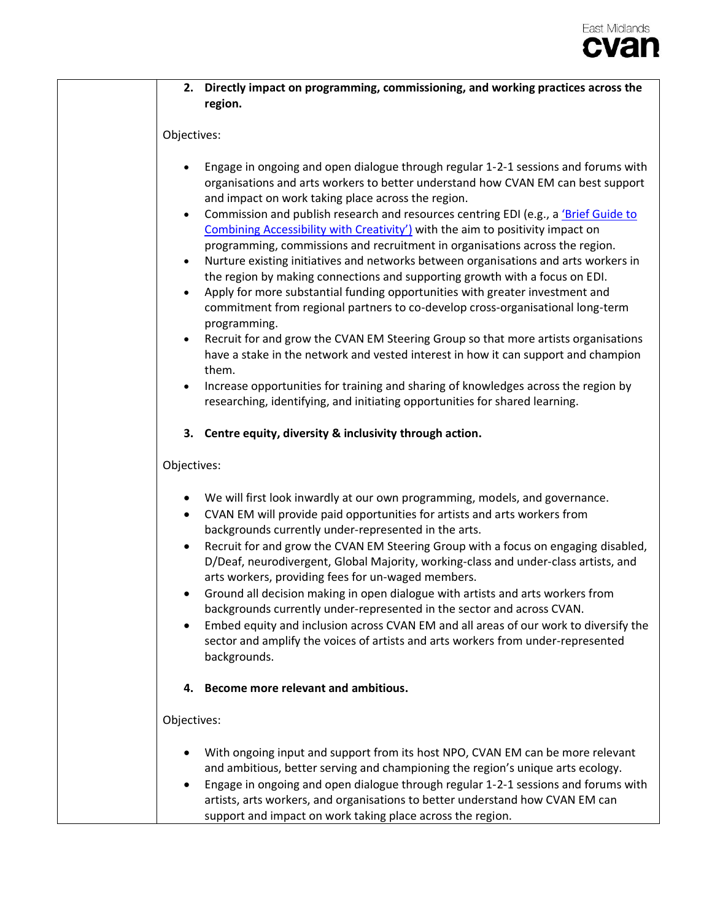| 2. Directly impact on programming, commissioning, and working practices across the<br>region.                                                                                                                                                                                                                                                                                                                                                                                                                                                                                                                                                                                                                                                                                                                                                                                                                                                                                                                                                                                                                                                                                                                                                                                                                            |
|--------------------------------------------------------------------------------------------------------------------------------------------------------------------------------------------------------------------------------------------------------------------------------------------------------------------------------------------------------------------------------------------------------------------------------------------------------------------------------------------------------------------------------------------------------------------------------------------------------------------------------------------------------------------------------------------------------------------------------------------------------------------------------------------------------------------------------------------------------------------------------------------------------------------------------------------------------------------------------------------------------------------------------------------------------------------------------------------------------------------------------------------------------------------------------------------------------------------------------------------------------------------------------------------------------------------------|
| Objectives:                                                                                                                                                                                                                                                                                                                                                                                                                                                                                                                                                                                                                                                                                                                                                                                                                                                                                                                                                                                                                                                                                                                                                                                                                                                                                                              |
| Engage in ongoing and open dialogue through regular 1-2-1 sessions and forums with<br>organisations and arts workers to better understand how CVAN EM can best support<br>and impact on work taking place across the region.<br>Commission and publish research and resources centring EDI (e.g., a 'Brief Guide to<br>$\bullet$<br>Combining Accessibility with Creativity') with the aim to positivity impact on<br>programming, commissions and recruitment in organisations across the region.<br>Nurture existing initiatives and networks between organisations and arts workers in<br>$\bullet$<br>the region by making connections and supporting growth with a focus on EDI.<br>Apply for more substantial funding opportunities with greater investment and<br>$\bullet$<br>commitment from regional partners to co-develop cross-organisational long-term<br>programming.<br>Recruit for and grow the CVAN EM Steering Group so that more artists organisations<br>$\bullet$<br>have a stake in the network and vested interest in how it can support and champion<br>them.<br>Increase opportunities for training and sharing of knowledges across the region by<br>researching, identifying, and initiating opportunities for shared learning.<br>3. Centre equity, diversity & inclusivity through action. |
| Objectives:                                                                                                                                                                                                                                                                                                                                                                                                                                                                                                                                                                                                                                                                                                                                                                                                                                                                                                                                                                                                                                                                                                                                                                                                                                                                                                              |
| We will first look inwardly at our own programming, models, and governance.<br>$\bullet$<br>CVAN EM will provide paid opportunities for artists and arts workers from<br>$\bullet$<br>backgrounds currently under-represented in the arts.<br>Recruit for and grow the CVAN EM Steering Group with a focus on engaging disabled,<br>D/Deaf, neurodivergent, Global Majority, working-class and under-class artists, and<br>arts workers, providing fees for un-waged members.<br>Ground all decision making in open dialogue with artists and arts workers from<br>backgrounds currently under-represented in the sector and across CVAN.<br>Embed equity and inclusion across CVAN EM and all areas of our work to diversify the<br>sector and amplify the voices of artists and arts workers from under-represented<br>backgrounds.                                                                                                                                                                                                                                                                                                                                                                                                                                                                                    |
| Become more relevant and ambitious.<br>4.                                                                                                                                                                                                                                                                                                                                                                                                                                                                                                                                                                                                                                                                                                                                                                                                                                                                                                                                                                                                                                                                                                                                                                                                                                                                                |
| Objectives:                                                                                                                                                                                                                                                                                                                                                                                                                                                                                                                                                                                                                                                                                                                                                                                                                                                                                                                                                                                                                                                                                                                                                                                                                                                                                                              |
| With ongoing input and support from its host NPO, CVAN EM can be more relevant<br>and ambitious, better serving and championing the region's unique arts ecology.<br>Engage in ongoing and open dialogue through regular 1-2-1 sessions and forums with<br>artists, arts workers, and organisations to better understand how CVAN EM can<br>support and impact on work taking place across the region.                                                                                                                                                                                                                                                                                                                                                                                                                                                                                                                                                                                                                                                                                                                                                                                                                                                                                                                   |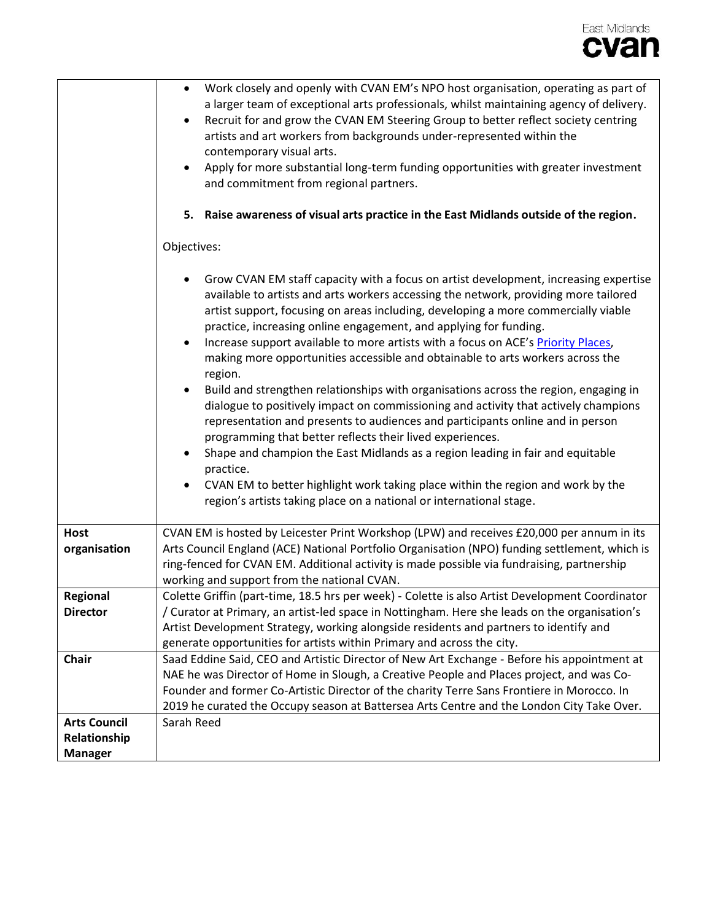

|                     | Work closely and openly with CVAN EM's NPO host organisation, operating as part of<br>$\bullet$<br>a larger team of exceptional arts professionals, whilst maintaining agency of delivery.<br>Recruit for and grow the CVAN EM Steering Group to better reflect society centring<br>٠<br>artists and art workers from backgrounds under-represented within the<br>contemporary visual arts.<br>Apply for more substantial long-term funding opportunities with greater investment<br>and commitment from regional partners.                                                                                                                                                                                                                                                                                                                                                                                                                                                                                                                                                                                                                             |
|---------------------|---------------------------------------------------------------------------------------------------------------------------------------------------------------------------------------------------------------------------------------------------------------------------------------------------------------------------------------------------------------------------------------------------------------------------------------------------------------------------------------------------------------------------------------------------------------------------------------------------------------------------------------------------------------------------------------------------------------------------------------------------------------------------------------------------------------------------------------------------------------------------------------------------------------------------------------------------------------------------------------------------------------------------------------------------------------------------------------------------------------------------------------------------------|
|                     | Raise awareness of visual arts practice in the East Midlands outside of the region.<br>5.                                                                                                                                                                                                                                                                                                                                                                                                                                                                                                                                                                                                                                                                                                                                                                                                                                                                                                                                                                                                                                                               |
|                     | Objectives:                                                                                                                                                                                                                                                                                                                                                                                                                                                                                                                                                                                                                                                                                                                                                                                                                                                                                                                                                                                                                                                                                                                                             |
|                     | Grow CVAN EM staff capacity with a focus on artist development, increasing expertise<br>available to artists and arts workers accessing the network, providing more tailored<br>artist support, focusing on areas including, developing a more commercially viable<br>practice, increasing online engagement, and applying for funding.<br>Increase support available to more artists with a focus on ACE's Priority Places,<br>$\bullet$<br>making more opportunities accessible and obtainable to arts workers across the<br>region.<br>Build and strengthen relationships with organisations across the region, engaging in<br>$\bullet$<br>dialogue to positively impact on commissioning and activity that actively champions<br>representation and presents to audiences and participants online and in person<br>programming that better reflects their lived experiences.<br>Shape and champion the East Midlands as a region leading in fair and equitable<br>practice.<br>CVAN EM to better highlight work taking place within the region and work by the<br>$\bullet$<br>region's artists taking place on a national or international stage. |
| <b>Host</b>         | CVAN EM is hosted by Leicester Print Workshop (LPW) and receives £20,000 per annum in its                                                                                                                                                                                                                                                                                                                                                                                                                                                                                                                                                                                                                                                                                                                                                                                                                                                                                                                                                                                                                                                               |
| organisation        | Arts Council England (ACE) National Portfolio Organisation (NPO) funding settlement, which is<br>ring-fenced for CVAN EM. Additional activity is made possible via fundraising, partnership<br>working and support from the national CVAN.                                                                                                                                                                                                                                                                                                                                                                                                                                                                                                                                                                                                                                                                                                                                                                                                                                                                                                              |
| Regional            | Colette Griffin (part-time, 18.5 hrs per week) - Colette is also Artist Development Coordinator                                                                                                                                                                                                                                                                                                                                                                                                                                                                                                                                                                                                                                                                                                                                                                                                                                                                                                                                                                                                                                                         |
| <b>Director</b>     | / Curator at Primary, an artist-led space in Nottingham. Here she leads on the organisation's                                                                                                                                                                                                                                                                                                                                                                                                                                                                                                                                                                                                                                                                                                                                                                                                                                                                                                                                                                                                                                                           |
|                     | Artist Development Strategy, working alongside residents and partners to identify and                                                                                                                                                                                                                                                                                                                                                                                                                                                                                                                                                                                                                                                                                                                                                                                                                                                                                                                                                                                                                                                                   |
|                     | generate opportunities for artists within Primary and across the city.                                                                                                                                                                                                                                                                                                                                                                                                                                                                                                                                                                                                                                                                                                                                                                                                                                                                                                                                                                                                                                                                                  |
| <b>Chair</b>        | Saad Eddine Said, CEO and Artistic Director of New Art Exchange - Before his appointment at                                                                                                                                                                                                                                                                                                                                                                                                                                                                                                                                                                                                                                                                                                                                                                                                                                                                                                                                                                                                                                                             |
|                     | NAE he was Director of Home in Slough, a Creative People and Places project, and was Co-                                                                                                                                                                                                                                                                                                                                                                                                                                                                                                                                                                                                                                                                                                                                                                                                                                                                                                                                                                                                                                                                |
|                     | Founder and former Co-Artistic Director of the charity Terre Sans Frontiere in Morocco. In                                                                                                                                                                                                                                                                                                                                                                                                                                                                                                                                                                                                                                                                                                                                                                                                                                                                                                                                                                                                                                                              |
|                     | 2019 he curated the Occupy season at Battersea Arts Centre and the London City Take Over.                                                                                                                                                                                                                                                                                                                                                                                                                                                                                                                                                                                                                                                                                                                                                                                                                                                                                                                                                                                                                                                               |
| <b>Arts Council</b> | Sarah Reed                                                                                                                                                                                                                                                                                                                                                                                                                                                                                                                                                                                                                                                                                                                                                                                                                                                                                                                                                                                                                                                                                                                                              |
| Relationship        |                                                                                                                                                                                                                                                                                                                                                                                                                                                                                                                                                                                                                                                                                                                                                                                                                                                                                                                                                                                                                                                                                                                                                         |
| <b>Manager</b>      |                                                                                                                                                                                                                                                                                                                                                                                                                                                                                                                                                                                                                                                                                                                                                                                                                                                                                                                                                                                                                                                                                                                                                         |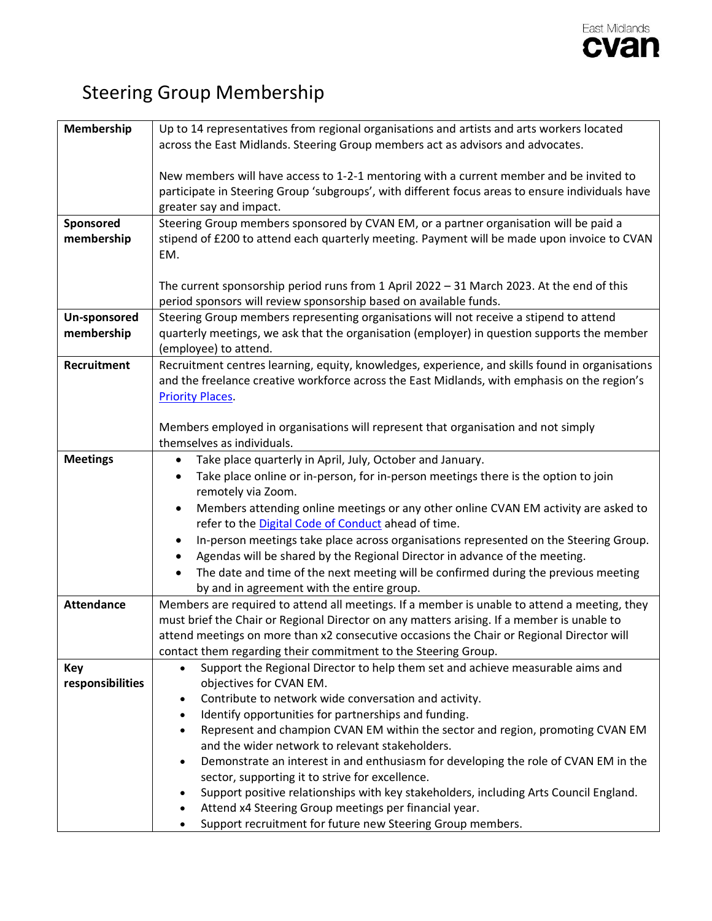

## Steering Group Membership

| Membership        | Up to 14 representatives from regional organisations and artists and arts workers located          |
|-------------------|----------------------------------------------------------------------------------------------------|
|                   | across the East Midlands. Steering Group members act as advisors and advocates.                    |
|                   |                                                                                                    |
|                   | New members will have access to 1-2-1 mentoring with a current member and be invited to            |
|                   | participate in Steering Group 'subgroups', with different focus areas to ensure individuals have   |
|                   | greater say and impact.                                                                            |
| Sponsored         | Steering Group members sponsored by CVAN EM, or a partner organisation will be paid a              |
| membership        | stipend of £200 to attend each quarterly meeting. Payment will be made upon invoice to CVAN        |
|                   | EM.                                                                                                |
|                   |                                                                                                    |
|                   | The current sponsorship period runs from 1 April 2022 - 31 March 2023. At the end of this          |
|                   | period sponsors will review sponsorship based on available funds.                                  |
|                   | Steering Group members representing organisations will not receive a stipend to attend             |
| Un-sponsored      |                                                                                                    |
| membership        | quarterly meetings, we ask that the organisation (employer) in question supports the member        |
|                   | (employee) to attend.                                                                              |
| Recruitment       | Recruitment centres learning, equity, knowledges, experience, and skills found in organisations    |
|                   | and the freelance creative workforce across the East Midlands, with emphasis on the region's       |
|                   | <b>Priority Places</b>                                                                             |
|                   |                                                                                                    |
|                   | Members employed in organisations will represent that organisation and not simply                  |
|                   | themselves as individuals.                                                                         |
| <b>Meetings</b>   | Take place quarterly in April, July, October and January.                                          |
|                   | Take place online or in-person, for in-person meetings there is the option to join                 |
|                   | remotely via Zoom.                                                                                 |
|                   | Members attending online meetings or any other online CVAN EM activity are asked to                |
|                   | refer to the <b>Digital Code of Conduct</b> ahead of time.                                         |
|                   | In-person meetings take place across organisations represented on the Steering Group.              |
|                   | Agendas will be shared by the Regional Director in advance of the meeting.                         |
|                   | The date and time of the next meeting will be confirmed during the previous meeting                |
|                   | by and in agreement with the entire group.                                                         |
| <b>Attendance</b> | Members are required to attend all meetings. If a member is unable to attend a meeting, they       |
|                   | must brief the Chair or Regional Director on any matters arising. If a member is unable to         |
|                   | attend meetings on more than x2 consecutive occasions the Chair or Regional Director will          |
|                   | contact them regarding their commitment to the Steering Group.                                     |
| Key               | Support the Regional Director to help them set and achieve measurable aims and<br>$\bullet$        |
| responsibilities  | objectives for CVAN EM.                                                                            |
|                   | Contribute to network wide conversation and activity.<br>$\bullet$                                 |
|                   | Identify opportunities for partnerships and funding.<br>$\bullet$                                  |
|                   | Represent and champion CVAN EM within the sector and region, promoting CVAN EM<br>$\bullet$        |
|                   | and the wider network to relevant stakeholders.                                                    |
|                   | Demonstrate an interest in and enthusiasm for developing the role of CVAN EM in the<br>$\bullet$   |
|                   | sector, supporting it to strive for excellence.                                                    |
|                   | Support positive relationships with key stakeholders, including Arts Council England.<br>$\bullet$ |
|                   | Attend x4 Steering Group meetings per financial year.                                              |
|                   | Support recruitment for future new Steering Group members.                                         |